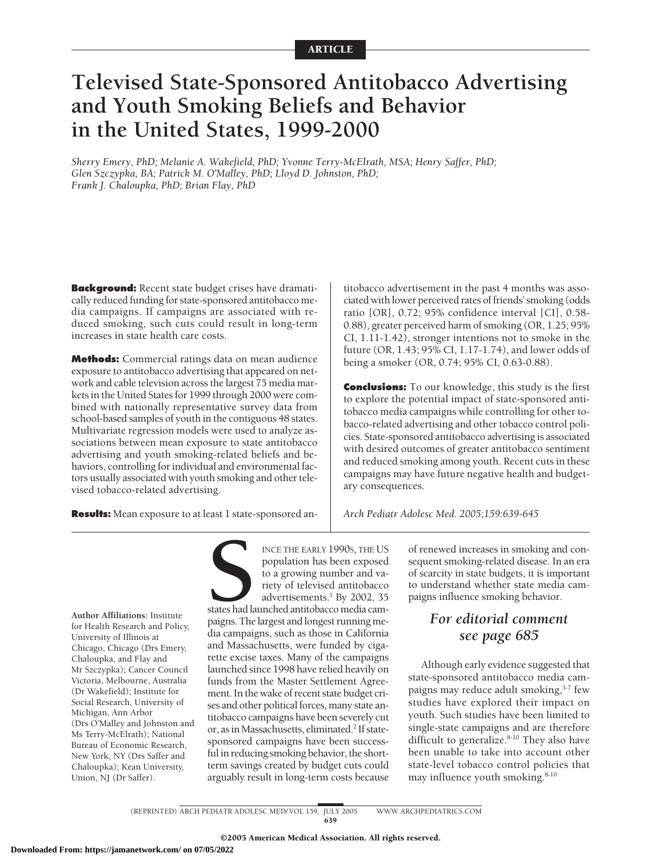# **Televised State-Sponsored Antitobacco Advertising and Youth Smoking Beliefs and Behavior in the United States, 1999-2000**

*Sherry Emery, PhD; Melanie A. Wakefield, PhD; Yvonne Terry-McElrath, MSA; Henry Saffer, PhD; Glen Szczypka, BA; Patrick M. O'Malley, PhD; Lloyd D. Johnston, PhD; Frank J. Chaloupka, PhD; Brian Flay, PhD*

**Background:** Recent state budget crises have dramatically reduced funding for state-sponsored antitobacco media campaigns. If campaigns are associated with reduced smoking, such cuts could result in long-term increases in state health care costs.

**Methods:** Commercial ratings data on mean audience exposure to antitobacco advertising that appeared on network and cable television across the largest 75 media markets in the United States for 1999 through 2000 were combined with nationally representative survey data from school-based samples of youth in the contiguous 48 states. Multivariate regression models were used to analyze associations between mean exposure to state antitobacco advertising and youth smoking-related beliefs and behaviors, controlling for individual and environmental factors usually associated with youth smoking and other televised tobacco-related advertising.

**Results:** Mean exposure to at least 1 state-sponsored an-

titobacco advertisement in the past 4 months was associated with lower perceived rates of friends' smoking (odds ratio [OR], 0.72; 95% confidence interval [CI], 0.58- 0.88), greater perceived harm of smoking (OR, 1.25; 95% CI, 1.11-1.42), stronger intentions not to smoke in the future (OR, 1.43; 95% CI, 1.17-1.74), and lower odds of being a smoker (OR, 0.74; 95% CI, 0.63-0.88).

**Conclusions:** To our knowledge, this study is the first to explore the potential impact of state-sponsored antitobacco media campaigns while controlling for other tobacco-related advertising and other tobacco control policies. State-sponsored antitobacco advertising is associated with desired outcomes of greater antitobacco sentiment and reduced smoking among youth. Recent cuts in these campaigns may have future negative health and budgetary consequences.

*Arch Pediatr Adolesc Med. 2005;159:639-645*

**Author Affiliations:** Institute for Health Research and Policy, University of Illinois at Chicago, Chicago (Drs Emery, Chaloupka, and Flay and Mr Szczypka); Cancer Council Victoria, Melbourne, Australia (Dr Wakefield); Institute for Social Research, University of Michigan, Ann Arbor (Drs O'Malley and Johnston and Ms Terry-McElrath); National Bureau of Economic Research, New York, NY (Drs Saffer and Chaloupka); Kean University, Union, NJ (Dr Saffer).

INCE THE EARLY 1990s, THE US<br>population has been exposed<br>to a growing number and va-<br>riety of televised antitobacco<br>advertisements.<sup>1</sup> By 2002, 35<br>states had launched antitobacco media cam-<br>paigns. The largest and longest population has been exposed to a growing number and variety of televised antitobacco advertisements.<sup>1</sup> By 2002, 35 states had launched antitobacco media campaigns. The largest and longest running media campaigns, such as those in California and Massachusetts, were funded by cigarette excise taxes. Many of the campaigns launched since 1998 have relied heavily on funds from the Master Settlement Agreement. In the wake of recent state budget crises and other political forces, many state antitobacco campaigns have been severely cut or, as in Massachusetts, eliminated.<sup>2</sup> If statesponsored campaigns have been successful in reducing smoking behavior, the shortterm savings created by budget cuts could arguably result in long-term costs because

of renewed increases in smoking and consequent smoking-related disease. In an era of scarcity in state budgets, it is important to understand whether state media campaigns influence smoking behavior.

## *For editorial comment see page 685*

Although early evidence suggested that state-sponsored antitobacco media campaigns may reduce adult smoking,<sup>3-7</sup> few studies have explored their impact on youth. Such studies have been limited to single-state campaigns and are therefore difficult to generalize. $8-10$  They also have been unable to take into account other state-level tobacco control policies that may influence youth smoking.<sup>8-10</sup>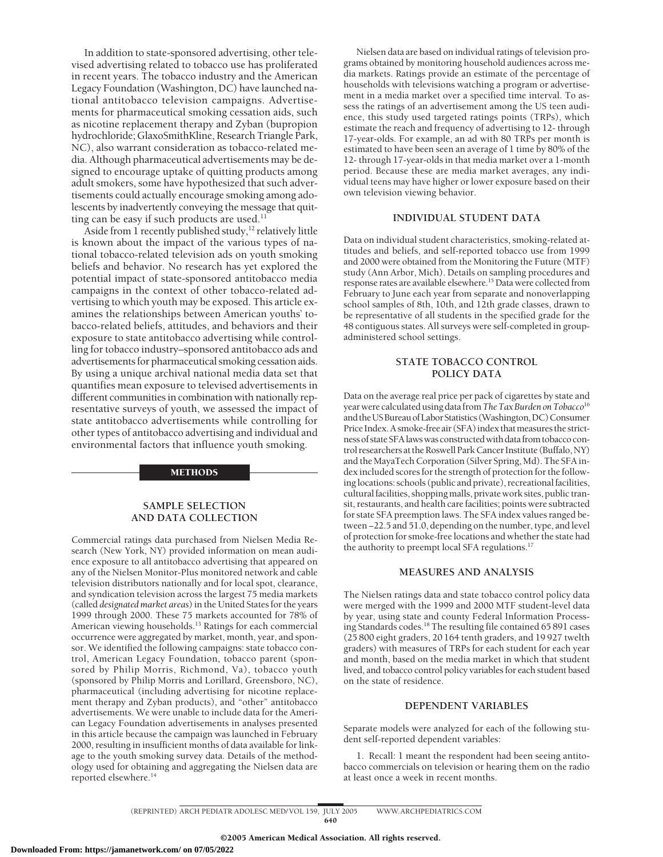In addition to state-sponsored advertising, other televised advertising related to tobacco use has proliferated in recent years. The tobacco industry and the American Legacy Foundation (Washington, DC) have launched national antitobacco television campaigns. Advertisements for pharmaceutical smoking cessation aids, such as nicotine replacement therapy and Zyban (bupropion hydrochloride; GlaxoSmithKline, Research Triangle Park, NC), also warrant consideration as tobacco-related media. Although pharmaceutical advertisements may be designed to encourage uptake of quitting products among adult smokers, some have hypothesized that such advertisements could actually encourage smoking among adolescents by inadvertently conveying the message that quitting can be easy if such products are used.<sup>11</sup>

Aside from 1 recently published study, $12$  relatively little is known about the impact of the various types of national tobacco-related television ads on youth smoking beliefs and behavior. No research has yet explored the potential impact of state-sponsored antitobacco media campaigns in the context of other tobacco-related advertising to which youth may be exposed. This article examines the relationships between American youths' tobacco-related beliefs, attitudes, and behaviors and their exposure to state antitobacco advertising while controlling for tobacco industry–sponsored antitobacco ads and advertisements for pharmaceutical smoking cessation aids. By using a unique archival national media data set that quantifies mean exposure to televised advertisements in different communities in combination with nationally representative surveys of youth, we assessed the impact of state antitobacco advertisements while controlling for other types of antitobacco advertising and individual and environmental factors that influence youth smoking.

#### METHODS

## **SAMPLE SELECTION AND DATA COLLECTION**

Commercial ratings data purchased from Nielsen Media Research (New York, NY) provided information on mean audience exposure to all antitobacco advertising that appeared on any of the Nielsen Monitor-Plus monitored network and cable television distributors nationally and for local spot, clearance, and syndication television across the largest 75 media markets (called *designated market areas*) in the United States for the years 1999 through 2000. These 75 markets accounted for 78% of American viewing households.<sup>13</sup> Ratings for each commercial occurrence were aggregated by market, month, year, and sponsor. We identified the following campaigns: state tobacco control, American Legacy Foundation, tobacco parent (sponsored by Philip Morris, Richmond, Va), tobacco youth (sponsored by Philip Morris and Lorillard, Greensboro, NC), pharmaceutical (including advertising for nicotine replacement therapy and Zyban products), and "other" antitobacco advertisements. We were unable to include data for the American Legacy Foundation advertisements in analyses presented in this article because the campaign was launched in February 2000, resulting in insufficient months of data available for linkage to the youth smoking survey data. Details of the methodology used for obtaining and aggregating the Nielsen data are reported elsewhere.<sup>14</sup>

Nielsen data are based on individual ratings of television programs obtained by monitoring household audiences across media markets. Ratings provide an estimate of the percentage of households with televisions watching a program or advertisement in a media market over a specified time interval. To assess the ratings of an advertisement among the US teen audience, this study used targeted ratings points (TRPs), which estimate the reach and frequency of advertising to 12- through 17-year-olds. For example, an ad with 80 TRPs per month is estimated to have been seen an average of 1 time by 80% of the 12- through 17-year-olds in that media market over a 1-month period. Because these are media market averages, any individual teens may have higher or lower exposure based on their own television viewing behavior.

## **INDIVIDUAL STUDENT DATA**

Data on individual student characteristics, smoking-related attitudes and beliefs, and self-reported tobacco use from 1999 and 2000 were obtained from the Monitoring the Future (MTF) study (Ann Arbor, Mich). Details on sampling procedures and response rates are available elsewhere.15 Data were collected from February to June each year from separate and nonoverlapping school samples of 8th, 10th, and 12th grade classes, drawn to be representative of all students in the specified grade for the 48 contiguous states. All surveys were self-completed in groupadministered school settings.

## **STATE TOBACCO CONTROL POLICY DATA**

Data on the average real price per pack of cigarettes by state and year were calculated using data from *The Tax Burden on Tobacco*<sup>16</sup> and the US Bureau of Labor Statistics (Washington, DC) Consumer Price Index. A smoke-free air (SFA) index that measures the strictness of state SFA laws was constructed with data from tobacco control researchers at the Roswell Park Cancer Institute (Buffalo, NY) and the MayaTech Corporation (Silver Spring, Md). The SFA index included scores for the strength of protection for the following locations: schools (public and private), recreational facilities, cultural facilities, shopping malls, private work sites, public transit, restaurants, and health care facilities; points were subtracted for state SFA preemption laws. The SFA index values ranged between −22.5 and 51.0, depending on the number, type, and level of protection for smoke-free locations and whether the state had the authority to preempt local SFA regulations.<sup>17</sup>

## **MEASURES AND ANALYSIS**

The Nielsen ratings data and state tobacco control policy data were merged with the 1999 and 2000 MTF student-level data by year, using state and county Federal Information Processing Standards codes.18 The resulting file contained 65 891 cases (25 800 eight graders, 20 164 tenth graders, and 19 927 twelth graders) with measures of TRPs for each student for each year and month, based on the media market in which that student lived, and tobacco control policy variables for each student based on the state of residence.

#### **DEPENDENT VARIABLES**

Separate models were analyzed for each of the following student self-reported dependent variables:

1. Recall: 1 meant the respondent had been seeing antitobacco commercials on television or hearing them on the radio at least once a week in recent months.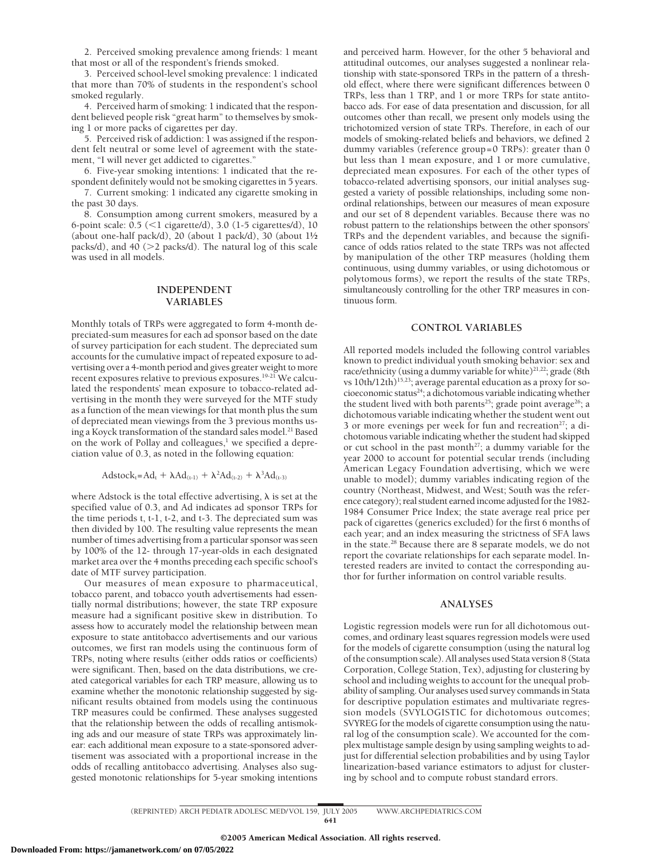2. Perceived smoking prevalence among friends: 1 meant that most or all of the respondent's friends smoked.

3. Perceived school-level smoking prevalence: 1 indicated that more than 70% of students in the respondent's school smoked regularly.

4. Perceived harm of smoking: 1 indicated that the respondent believed people risk "great harm" to themselves by smoking 1 or more packs of cigarettes per day.

5. Perceived risk of addiction: 1 was assigned if the respondent felt neutral or some level of agreement with the statement, "I will never get addicted to cigarettes."

6. Five-year smoking intentions: 1 indicated that the respondent definitely would not be smoking cigarettes in 5 years.

7. Current smoking: 1 indicated any cigarette smoking in the past 30 days.

8. Consumption among current smokers, measured by a 6-point scale:  $0.5$  (<1 cigarette/d), 3.0 (1-5 cigarettes/d), 10 (about one-half pack/d), 20 (about 1 pack/d), 30 (about 1½ packs/d), and 40 (>2 packs/d). The natural log of this scale was used in all models.

## **INDEPENDENT VARIABLES**

Monthly totals of TRPs were aggregated to form 4-month depreciated-sum measures for each ad sponsor based on the date of survey participation for each student. The depreciated sum accounts for the cumulative impact of repeated exposure to advertising over a 4-month period and gives greater weight to more recent exposures relative to previous exposures.19-21 We calculated the respondents' mean exposure to tobacco-related advertising in the month they were surveyed for the MTF study as a function of the mean viewings for that month plus the sum of depreciated mean viewings from the 3 previous months using a Koyck transformation of the standard sales model.<sup>21</sup> Based on the work of Pollay and colleagues, $\frac{1}{x}$  we specified a depreciation value of 0.3, as noted in the following equation:

 $\text{Adstock}_{t} = \text{Ad}_{t} + \lambda \text{Ad}_{(t-1)} + \lambda^{2} \text{Ad}_{(t-2)} + \lambda^{3} \text{Ad}_{(t-3)}$ 

where Adstock is the total effective advertising,  $\lambda$  is set at the specified value of 0.3, and Ad indicates ad sponsor TRPs for the time periods t, t-1, t-2, and t-3. The depreciated sum was then divided by 100. The resulting value represents the mean number of times advertising from a particular sponsor was seen by 100% of the 12- through 17-year-olds in each designated market area over the 4 months preceding each specific school's date of MTF survey participation.

Our measures of mean exposure to pharmaceutical, tobacco parent, and tobacco youth advertisements had essentially normal distributions; however, the state TRP exposure measure had a significant positive skew in distribution. To assess how to accurately model the relationship between mean exposure to state antitobacco advertisements and our various outcomes, we first ran models using the continuous form of TRPs, noting where results (either odds ratios or coefficients) were significant. Then, based on the data distributions, we created categorical variables for each TRP measure, allowing us to examine whether the monotonic relationship suggested by significant results obtained from models using the continuous TRP measures could be confirmed. These analyses suggested that the relationship between the odds of recalling antismoking ads and our measure of state TRPs was approximately linear: each additional mean exposure to a state-sponsored advertisement was associated with a proportional increase in the odds of recalling antitobacco advertising. Analyses also suggested monotonic relationships for 5-year smoking intentions and perceived harm. However, for the other 5 behavioral and attitudinal outcomes, our analyses suggested a nonlinear relationship with state-sponsored TRPs in the pattern of a threshold effect, where there were significant differences between 0 TRPs, less than 1 TRP, and 1 or more TRPs for state antitobacco ads. For ease of data presentation and discussion, for all outcomes other than recall, we present only models using the trichotomized version of state TRPs. Therefore, in each of our models of smoking-related beliefs and behaviors, we defined 2 dummy variables (reference group=0 TRPs): greater than 0 but less than 1 mean exposure, and 1 or more cumulative, depreciated mean exposures. For each of the other types of tobacco-related advertising sponsors, our initial analyses suggested a variety of possible relationships, including some nonordinal relationships, between our measures of mean exposure and our set of 8 dependent variables. Because there was no robust pattern to the relationships between the other sponsors' TRPs and the dependent variables, and because the significance of odds ratios related to the state TRPs was not affected by manipulation of the other TRP measures (holding them continuous, using dummy variables, or using dichotomous or polytomous forms), we report the results of the state TRPs, simultaneously controlling for the other TRP measures in continuous form.

#### **CONTROL VARIABLES**

All reported models included the following control variables known to predict individual youth smoking behavior: sex and race/ethnicity (using a dummy variable for white)<sup>21,22</sup>; grade (8th vs  $10$ th/ $12$ th)<sup>15,23</sup>; average parental education as a proxy for socioeconomic status24; a dichotomous variable indicating whether the student lived with both parents<sup>25</sup>; grade point average<sup>26</sup>; a dichotomous variable indicating whether the student went out 3 or more evenings per week for fun and recreation<sup>27</sup>; a dichotomous variable indicating whether the student had skipped or cut school in the past month<sup>27</sup>; a dummy variable for the year 2000 to account for potential secular trends (including American Legacy Foundation advertising, which we were unable to model); dummy variables indicating region of the country (Northeast, Midwest, and West; South was the reference category); real student earned income adjusted for the 1982- 1984 Consumer Price Index; the state average real price per pack of cigarettes (generics excluded) for the first 6 months of each year; and an index measuring the strictness of SFA laws in the state.28 Because there are 8 separate models, we do not report the covariate relationships for each separate model. Interested readers are invited to contact the corresponding author for further information on control variable results.

### **ANALYSES**

Logistic regression models were run for all dichotomous outcomes, and ordinary least squares regression models were used for the models of cigarette consumption (using the natural log of the consumption scale). All analyses used Stata version 8 (Stata Corporation, College Station, Tex), adjusting for clustering by school and including weights to account for the unequal probability of sampling. Our analyses used survey commands in Stata for descriptive population estimates and multivariate regression models (SVYLOGISTIC for dichotomous outcomes; SVYREG for the models of cigarette consumption using the natural log of the consumption scale). We accounted for the complex multistage sample design by using sampling weights to adjust for differential selection probabilities and by using Taylor linearization-based variance estimators to adjust for clustering by school and to compute robust standard errors.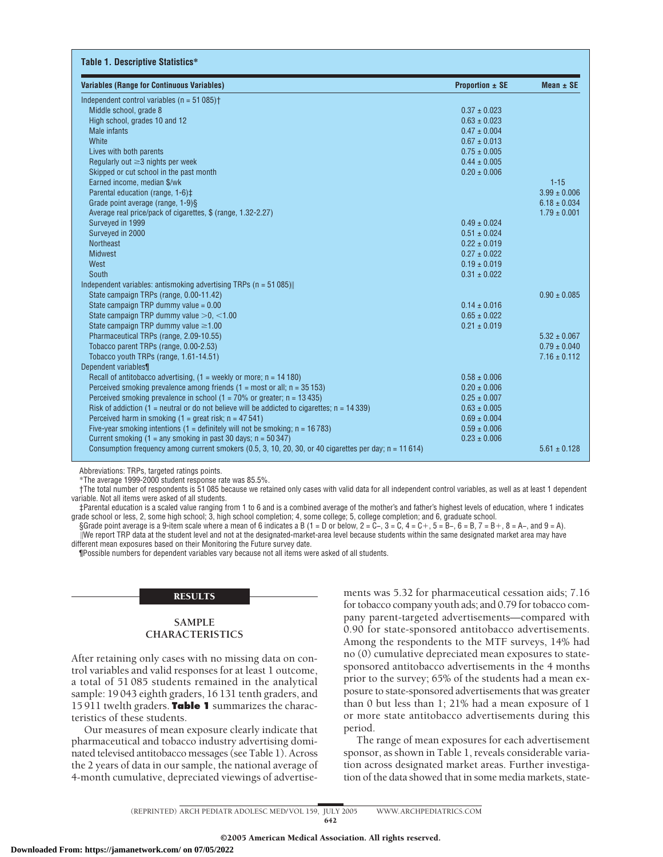| <b>Variables (Range for Continuous Variables)</b>                                                      | Proportion $\pm$ SE | Mean $\pm$ SE    |
|--------------------------------------------------------------------------------------------------------|---------------------|------------------|
| Independent control variables ( $n = 51085$ ) <sup>+</sup>                                             |                     |                  |
| Middle school, grade 8                                                                                 | $0.37 \pm 0.023$    |                  |
| High school, grades 10 and 12                                                                          | $0.63 \pm 0.023$    |                  |
| Male infants                                                                                           | $0.47 \pm 0.004$    |                  |
| White                                                                                                  | $0.67 \pm 0.013$    |                  |
| Lives with both parents                                                                                | $0.75 \pm 0.005$    |                  |
| Regularly out $\geq$ 3 nights per week                                                                 | $0.44 \pm 0.005$    |                  |
| Skipped or cut school in the past month                                                                | $0.20 \pm 0.006$    |                  |
| Earned income, median \$/wk                                                                            |                     | $1 - 15$         |
| Parental education (range, 1-6)‡                                                                       |                     | $3.99 \pm 0.006$ |
| Grade point average (range, 1-9)§                                                                      |                     | $6.18 \pm 0.034$ |
| Average real price/pack of cigarettes, \$ (range, 1.32-2.27)                                           |                     | $1.79 \pm 0.001$ |
| Surveyed in 1999                                                                                       | $0.49 \pm 0.024$    |                  |
| Surveyed in 2000                                                                                       | $0.51 \pm 0.024$    |                  |
| <b>Northeast</b>                                                                                       | $0.22 \pm 0.019$    |                  |
| <b>Midwest</b>                                                                                         | $0.27 \pm 0.022$    |                  |
| West                                                                                                   | $0.19 \pm 0.019$    |                  |
| South                                                                                                  | $0.31 \pm 0.022$    |                  |
| Independent variables: antismoking advertising TRPs ( $n = 51085$ )                                    |                     |                  |
| State campaign TRPs (range, 0.00-11.42)                                                                |                     | $0.90 \pm 0.085$ |
| State campaign TRP dummy value = $0.00$                                                                | $0.14 \pm 0.016$    |                  |
| State campaign TRP dummy value $>0,$ <1.00                                                             | $0.65 \pm 0.022$    |                  |
| State campaign TRP dummy value $\geq 1.00$                                                             | $0.21 \pm 0.019$    |                  |
| Pharmaceutical TRPs (range, 2.09-10.55)                                                                |                     | $5.32 \pm 0.067$ |
| Tobacco parent TRPs (range, 0.00-2.53)                                                                 |                     | $0.79 \pm 0.040$ |
| Tobacco youth TRPs (range, 1.61-14.51)                                                                 |                     | $7.16 \pm 0.112$ |
| Dependent variables¶                                                                                   |                     |                  |
| Recall of antitobacco advertising, $(1 = \text{weekly or more}; n = 14180)$                            | $0.58 \pm 0.006$    |                  |
| Perceived smoking prevalence among friends $(1 = \text{most or all}; n = 35153)$                       | $0.20 \pm 0.006$    |                  |
| Perceived smoking prevalence in school (1 = $70\%$ or greater; n = 13 435)                             | $0.25 \pm 0.007$    |                  |
| Risk of addiction $(1 =$ neutral or do not believe will be addicted to cigarettes; $n = 14339$ )       | $0.63 \pm 0.005$    |                  |
| Perceived harm in smoking $(1 = \text{great risk}; n = 47541)$                                         | $0.69 \pm 0.004$    |                  |
| Five-year smoking intentions (1 = definitely will not be smoking; $n = 16783$ )                        | $0.59 \pm 0.006$    |                  |
| Current smoking (1 = any smoking in past 30 days; $n = 50347$ )                                        | $0.23 \pm 0.006$    |                  |
| Consumption frequency among current smokers (0.5, 3, 10, 20, 30, or 40 cigarettes per day; n = 11 614) |                     | $5.61 \pm 0.128$ |

Abbreviations: TRPs, targeted ratings points.

\*The average 1999-2000 student response rate was 85.5%.

†The total number of respondents is 51 085 because we retained only cases with valid data for all independent control variables, as well as at least 1 dependent variable. Not all items were asked of all students.

‡Parental education is a scaled value ranging from 1 to 6 and is a combined average of the mother's and father's highest levels of education, where 1 indicates grade school or less, 2, some high school; 3, high school completion; 4, some college; 5, college completion; and 6, graduate school.

§Grade point average is a 9-item scale where a mean of 6 indicates a B (1 = D or below,  $2 = \bar{C}$  –,  $3 = \bar{C}$ ,  $4 = \bar{C}$  +,  $5 = \bar{B}$  –,  $6 = B$ ,  $7 = B +$ ,  $8 = A$  –, and  $9 = A$ ).

We report TRP data at the student level and not at the designated-market-area level because students within the same designated market area may have different mean exposures based on their Monitoring the Future survey date.

¶Possible numbers for dependent variables vary because not all items were asked of all students.

### RESULTS

## **SAMPLE CHARACTERISTICS**

After retaining only cases with no missing data on control variables and valid responses for at least 1 outcome, a total of 51 085 students remained in the analytical sample: 19 043 eighth graders, 16 131 tenth graders, and 15 911 twelth graders. **Table 1** summarizes the characteristics of these students.

Our measures of mean exposure clearly indicate that pharmaceutical and tobacco industry advertising dominated televised antitobacco messages (see Table 1). Across the 2 years of data in our sample, the national average of 4-month cumulative, depreciated viewings of advertise-

ments was 5.32 for pharmaceutical cessation aids; 7.16 for tobacco company youth ads; and 0.79 for tobacco company parent-targeted advertisements—compared with 0.90 for state-sponsored antitobacco advertisements. Among the respondents to the MTF surveys, 14% had no (0) cumulative depreciated mean exposures to statesponsored antitobacco advertisements in the 4 months prior to the survey; 65% of the students had a mean exposure to state-sponsored advertisements that was greater than 0 but less than 1; 21% had a mean exposure of 1 or more state antitobacco advertisements during this period.

The range of mean exposures for each advertisement sponsor, as shown in Table 1, reveals considerable variation across designated market areas. Further investigation of the data showed that in some media markets, state-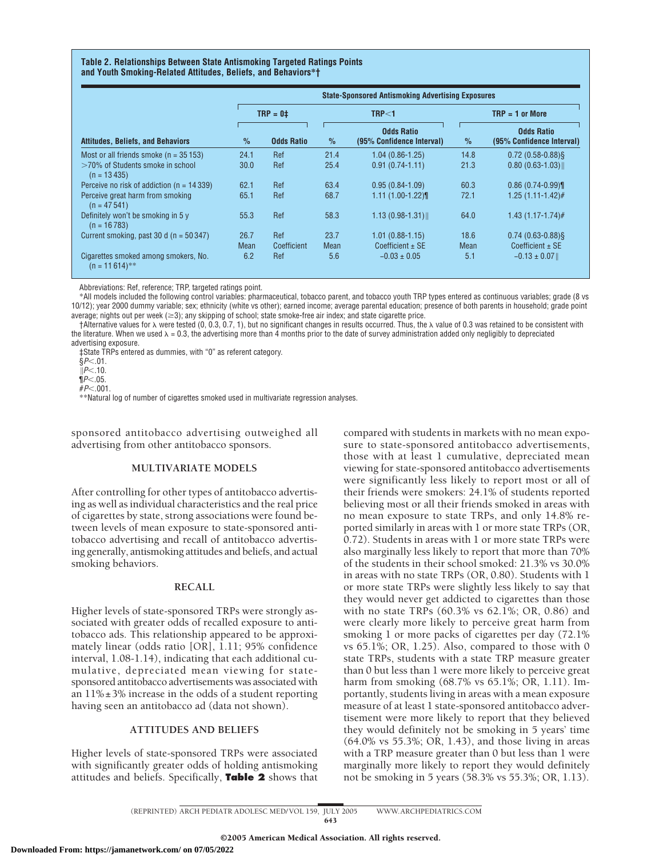#### **Table 2. Relationships Between State Antismoking Targeted Ratings Points and Youth Smoking-Related Attitudes, Beliefs, and Behaviors\*†**

|                                                          |      | <b>State-Sponsored Antismoking Advertising Exposures</b> |      |                                                |      |                                                |  |
|----------------------------------------------------------|------|----------------------------------------------------------|------|------------------------------------------------|------|------------------------------------------------|--|
|                                                          |      | $TRP = 0$ ‡                                              |      | TRP < 1                                        |      | $TRP = 1$ or More                              |  |
| <b>Attitudes, Beliefs, and Behaviors</b>                 | $\%$ | <b>Odds Ratio</b>                                        | $\%$ | <b>Odds Ratio</b><br>(95% Confidence Interval) | $\%$ | <b>Odds Ratio</b><br>(95% Confidence Interval) |  |
| Most or all friends smoke ( $n = 35153$ )                | 24.1 | Ref                                                      | 21.4 | $1.04(0.86-1.25)$                              | 14.8 | $0.72(0.58-0.88)$ §                            |  |
| $>70\%$ of Students smoke in school<br>$(n = 13435)$     | 30.0 | Ref                                                      | 25.4 | $0.91(0.74 - 1.11)$                            | 21.3 | $0.80(0.63 - 1.03)$                            |  |
| Perceive no risk of addiction ( $n = 14339$ )            | 62.1 | Ref                                                      | 63.4 | $0.95(0.84-1.09)$                              | 60.3 | $0.86$ (0.74-0.99)                             |  |
| Perceive great harm from smoking<br>$(n = 47541)$        | 65.1 | Ref                                                      | 68.7 | $1.11(1.00-1.22)$                              | 72.1 | $1.25(1.11-1.42)$ #                            |  |
| Definitely won't be smoking in 5 y<br>$(n = 16783)$      | 55.3 | Ref                                                      | 58.3 | $1.13(0.98-1.31)$                              | 64.0 | $1.43(1.17-1.74)$ #                            |  |
| Current smoking, past 30 d ( $n = 50347$ )               | 26.7 | Ref                                                      | 23.7 | $1.01(0.88-1.15)$                              | 18.6 | $0.74(0.63-0.88)$                              |  |
|                                                          | Mean | Coefficient                                              | Mean | Coefficient $\pm$ SE                           | Mean | Coefficient $\pm$ SE                           |  |
| Cigarettes smoked among smokers, No.<br>$(n = 11614)$ ** | 6.2  | Ref                                                      | 5.6  | $-0.03 \pm 0.05$                               | 5.1  | $-0.13 \pm 0.07$                               |  |

Abbreviations: Ref, reference; TRP, targeted ratings point.

\*All models included the following control variables: pharmaceutical, tobacco parent, and tobacco youth TRP types entered as continuous variables; grade (8 vs 10/12); year 2000 dummy variable; sex; ethnicity (white vs other); earned income; average parental education; presence of both parents in household; grade point average; nights out per week  $(\geq 3)$ ; any skipping of school; state smoke-free air index; and state cigarette price.

†Alternative values for  $\lambda$  were tested (0, 0.3, 0.7, 1), but no significant changes in results occurred. Thus, the  $\lambda$  value of 0.3 was retained to be consistent with the literature. When we used  $\lambda = 0.3$ , the advertising more than 4 months prior to the date of survey administration added only negligibly to depreciated advertising exposure.

‡State TRPs entered as dummies, with "0" as referent category.

§*P*.01.

 $\|P\leq 10.$ 

 $\mathbf{\ddot{q}}$ *P* $< 0.05$ .

\*\*Natural log of number of cigarettes smoked used in multivariate regression analyses.

sponsored antitobacco advertising outweighed all advertising from other antitobacco sponsors.

## **MULTIVARIATE MODELS**

After controlling for other types of antitobacco advertising as well as individual characteristics and the real price of cigarettes by state, strong associations were found between levels of mean exposure to state-sponsored antitobacco advertising and recall of antitobacco advertising generally, antismoking attitudes and beliefs, and actual smoking behaviors.

## **RECALL**

Higher levels of state-sponsored TRPs were strongly associated with greater odds of recalled exposure to antitobacco ads. This relationship appeared to be approximately linear (odds ratio [OR], 1.11; 95% confidence interval, 1.08-1.14), indicating that each additional cumulative, depreciated mean viewing for statesponsored antitobacco advertisements was associated with an  $11\% \pm 3\%$  increase in the odds of a student reporting having seen an antitobacco ad (data not shown).

## **ATTITUDES AND BELIEFS**

Higher levels of state-sponsored TRPs were associated with significantly greater odds of holding antismoking attitudes and beliefs. Specifically, **Table 2** shows that compared with students in markets with no mean exposure to state-sponsored antitobacco advertisements, those with at least 1 cumulative, depreciated mean viewing for state-sponsored antitobacco advertisements were significantly less likely to report most or all of their friends were smokers: 24.1% of students reported believing most or all their friends smoked in areas with no mean exposure to state TRPs, and only 14.8% reported similarly in areas with 1 or more state TRPs (OR, 0.72). Students in areas with 1 or more state TRPs were also marginally less likely to report that more than 70% of the students in their school smoked: 21.3% vs 30.0% in areas with no state TRPs (OR, 0.80). Students with 1 or more state TRPs were slightly less likely to say that they would never get addicted to cigarettes than those with no state TRPs (60.3% vs 62.1%; OR, 0.86) and were clearly more likely to perceive great harm from smoking 1 or more packs of cigarettes per day (72.1% vs 65.1%; OR, 1.25). Also, compared to those with 0 state TRPs, students with a state TRP measure greater than 0 but less than 1 were more likely to perceive great harm from smoking (68.7% vs 65.1%; OR, 1.11). Importantly, students living in areas with a mean exposure measure of at least 1 state-sponsored antitobacco advertisement were more likely to report that they believed they would definitely not be smoking in 5 years' time (64.0% vs 55.3%; OR, 1.43), and those living in areas with a TRP measure greater than 0 but less than 1 were marginally more likely to report they would definitely not be smoking in 5 years (58.3% vs 55.3%; OR, 1.13).

<sup>#</sup>*P*.001.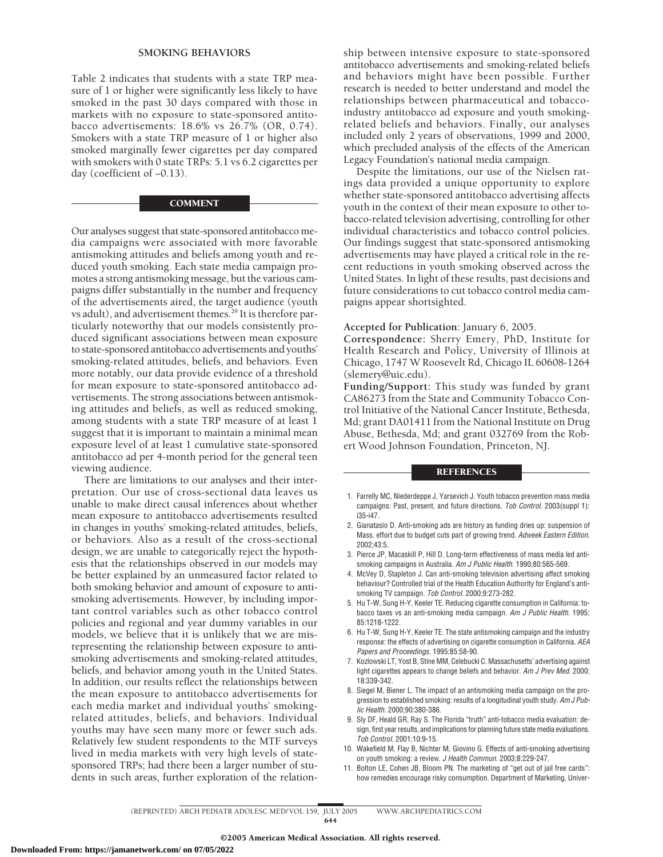## **SMOKING BEHAVIORS**

Table 2 indicates that students with a state TRP measure of 1 or higher were significantly less likely to have smoked in the past 30 days compared with those in markets with no exposure to state-sponsored antitobacco advertisements: 18.6% vs 26.7% (OR, 0.74). Smokers with a state TRP measure of 1 or higher also smoked marginally fewer cigarettes per day compared with smokers with 0 state TRPs: 5.1 vs 6.2 cigarettes per day (coefficient of −0.13).

## **COMMENT**

Our analyses suggest that state-sponsored antitobacco media campaigns were associated with more favorable antismoking attitudes and beliefs among youth and reduced youth smoking. Each state media campaign promotes a strong antismoking message, but the various campaigns differ substantially in the number and frequency of the advertisements aired, the target audience (youth vs adult), and advertisement themes.<sup>29</sup> It is therefore particularly noteworthy that our models consistently produced significant associations between mean exposure to state-sponsored antitobacco advertisements and youths' smoking-related attitudes, beliefs, and behaviors. Even more notably, our data provide evidence of a threshold for mean exposure to state-sponsored antitobacco advertisements. The strong associations between antismoking attitudes and beliefs, as well as reduced smoking, among students with a state TRP measure of at least 1 suggest that it is important to maintain a minimal mean exposure level of at least 1 cumulative state-sponsored antitobacco ad per 4-month period for the general teen viewing audience.

There are limitations to our analyses and their interpretation. Our use of cross-sectional data leaves us unable to make direct causal inferences about whether mean exposure to antitobacco advertisements resulted in changes in youths' smoking-related attitudes, beliefs, or behaviors. Also as a result of the cross-sectional design, we are unable to categorically reject the hypothesis that the relationships observed in our models may be better explained by an unmeasured factor related to both smoking behavior and amount of exposure to antismoking advertisements. However, by including important control variables such as other tobacco control policies and regional and year dummy variables in our models, we believe that it is unlikely that we are misrepresenting the relationship between exposure to antismoking advertisements and smoking-related attitudes, beliefs, and behavior among youth in the United States. In addition, our results reflect the relationships between the mean exposure to antitobacco advertisements for each media market and individual youths' smokingrelated attitudes, beliefs, and behaviors. Individual youths may have seen many more or fewer such ads. Relatively few student respondents to the MTF surveys lived in media markets with very high levels of statesponsored TRPs; had there been a larger number of students in such areas, further exploration of the relationship between intensive exposure to state-sponsored antitobacco advertisements and smoking-related beliefs and behaviors might have been possible. Further research is needed to better understand and model the relationships between pharmaceutical and tobaccoindustry antitobacco ad exposure and youth smokingrelated beliefs and behaviors. Finally, our analyses included only 2 years of observations, 1999 and 2000, which precluded analysis of the effects of the American Legacy Foundation's national media campaign.

Despite the limitations, our use of the Nielsen ratings data provided a unique opportunity to explore whether state-sponsored antitobacco advertising affects youth in the context of their mean exposure to other tobacco-related television advertising, controlling for other individual characteristics and tobacco control policies. Our findings suggest that state-sponsored antismoking advertisements may have played a critical role in the recent reductions in youth smoking observed across the United States. In light of these results, past decisions and future considerations to cut tobacco control media campaigns appear shortsighted.

#### **Accepted for Publication**: January 6, 2005.

**Correspondence:** Sherry Emery, PhD, Institute for Health Research and Policy, University of Illinois at Chicago, 1747 W Roosevelt Rd, Chicago IL 60608-1264 (slemery@uic.edu).

**Funding/Support:** This study was funded by grant CA86273 from the State and Community Tobacco Control Initiative of the National Cancer Institute, Bethesda, Md; grant DA01411 from the National Institute on Drug Abuse, Bethesda, Md; and grant 032769 from the Robert Wood Johnson Foundation, Princeton, NJ.

#### **REFERENCES**

- 1. Farrelly MC, Niederdeppe J, Yarsevich J. Youth tobacco prevention mass media campaigns: Past, present, and future directions. *Tob Control*. 2003(suppl 1): i35-i47.
- 2. Gianatasio D. Anti-smoking ads are history as funding dries up: suspension of Mass. effort due to budget cuts part of growing trend. *Adweek Eastern Edition*. 2002;43:5.
- 3. Pierce JP, Macaskill P, Hill D. Long-term effectiveness of mass media led antismoking campaigns in Australia. *Am J Public Health*. 1990;80:565-569.
- 4. McVey D, Stapleton J. Can anti-smoking television advertising affect smoking behaviour? Controlled trial of the Health Education Authority for England's antismoking TV campaign. *Tob Control*. 2000;9:273-282.
- 5. Hu T-W, Sung H-Y, Keeler TE. Reducing cigarette consumption in California: tobacco taxes vs an anti-smoking media campaign. *Am J Public Health*. 1995; 85:1218-1222.
- 6. Hu T-W, Sung H-Y, Keeler TE. The state antismoking campaign and the industry response: the effects of advertising on cigarette consumption in California. *AEA Papers and Proceedings*. 1995;85:58-90.
- 7. Kozlowski LT, Yost B, Stine MM, Celebucki C. Massachusetts' advertising against light cigarettes appears to change beliefs and behavior. *Am J Prev Med*. 2000; 18:339-342.
- 8. Siegel M, Biener L. The impact of an antismoking media campaign on the progression to established smoking: results of a longitudinal youth study. *Am J Public Health*. 2000;90:380-386.
- 9. Sly DF, Heald GR, Ray S. The Florida "truth" anti-tobacco media evaluation: design, first year results, and implications for planning future state media evaluations. *Tob Control*. 2001;10:9-15.
- 10. Wakefield M, Flay B, Nichter M, Giovino G. Effects of anti-smoking advertising on youth smoking: a review. *J Health Commun*. 2003;8:229-247.
- 11. Bolton LE, Cohen JB, Bloom PN. The marketing of "get out of jail free cards": how remedies encourage risky consumption. Department of Marketing, Univer-

(REPRINTED) ARCH PEDIATR ADOLESC MED/ VOL 159, JULY 2005 WWW.ARCHPEDIATRICS.COM 644

©2005 American Medical Association. All rights reserved.